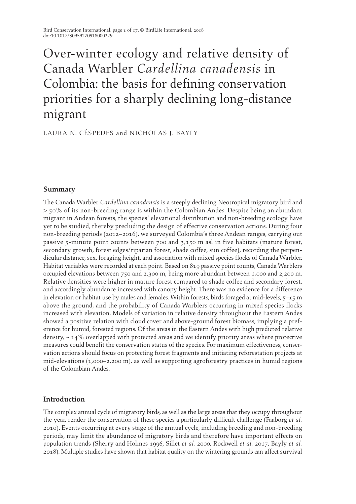# Over-winter ecology and relative density of Canada Warbler *Cardellina canadensis* in Colombia: the basis for defining conservation priorities for a sharply declining long-distance migrant

LAURA N. CÉSPEDES and NICHOLAS J. BAYLY

# **Summary**

The Canada Warbler *Cardellina canadensis* is a steeply declining Neotropical migratory bird and > 50% of its non-breeding range is within the Colombian Andes. Despite being an abundant migrant in Andean forests, the species' elevational distribution and non-breeding ecology have yet to be studied, thereby precluding the design of effective conservation actions. During four non-breeding periods (2012–2016), we surveyed Colombia's three Andean ranges, carrying out passive 5-minute point counts between 700 and 3,150 m asl in five habitats (mature forest, secondary growth, forest edges/riparian forest, shade coffee, sun coffee), recording the perpendicular distance, sex, foraging height, and association with mixed species flocks of Canada Warbler. Habitat variables were recorded at each point. Based on 819 passive point counts, Canada Warblers occupied elevations between 750 and 2,300 m, being more abundant between 1,000 and 2,200 m. Relative densities were higher in mature forest compared to shade coffee and secondary forest, and accordingly abundance increased with canopy height. There was no evidence for a difference in elevation or habitat use by males and females. Within forests, birds foraged at mid-levels,  $5-15$  m above the ground, and the probability of Canada Warblers occurring in mixed species flocks increased with elevation. Models of variation in relative density throughout the Eastern Andes showed a positive relation with cloud cover and above-ground forest biomass, implying a preference for humid, forested regions. Of the areas in the Eastern Andes with high predicted relative density, ∼ 14% overlapped with protected areas and we identify priority areas where protective measures could benefit the conservation status of the species. For maximum effectiveness, conservation actions should focus on protecting forest fragments and initiating reforestation projects at mid-elevations (1,000–2,200 m), as well as supporting agroforestry practices in humid regions of the Colombian Andes.

# **Introduction**

The complex annual cycle of migratory birds, as well as the large areas that they occupy throughout the year, render the conservation of these species a particularly difficult challenge (Faaborg *et al.* 2010). Events occurring at every stage of the annual cycle, including breeding and non-breeding periods, may limit the abundance of migratory birds and therefore have important effects on population trends (Sherry and Holmes 1996, Sillet *et al.* 2000, Rockwell *et al.* 2017, Bayly *et al.* 2018). Multiple studies have shown that habitat quality on the wintering grounds can affect survival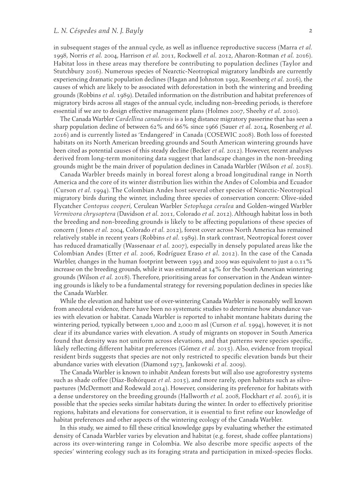in subsequent stages of the annual cycle, as well as influence reproductive success (Marra *et al.* 1998, Norris *et al.* 2004, Harrison *et al.* 2011, Rockwell *et al.* 2012, Aharon-Rotman *et al.* 2016). Habitat loss in these areas may therefore be contributing to population declines (Taylor and Stutchbury 2016). Numerous species of Nearctic-Neotropical migratory landbirds are currently experiencing dramatic population declines (Hagan and Johnston 1992, Rosenberg *et al.* 2016), the causes of which are likely to be associated with deforestation in both the wintering and breeding grounds (Robbins *et al.* 1989). Detailed information on the distribution and habitat preferences of migratory birds across all stages of the annual cycle, including non-breeding periods, is therefore essential if we are to design effective management plans (Holmes 2007, Sheehy *et al.* 2010).

The Canada Warbler *Cardellina canadensis* is a long distance migratory passerine that has seen a sharp population decline of between 62% and 66% since 1966 (Sauer *et al.* 2014, Rosenberg *et al.* 2016) and is currently listed as 'Endangered' in Canada (COSEWIC 2008). Both loss of forested habitats on its North American breeding grounds and South American wintering grounds have been cited as potential causes of this steady decline (Becker *et al.* 2012). However, recent analyses derived from long-term monitoring data suggest that landscape changes in the non-breeding grounds might be the main driver of population declines in Canada Warbler (Wilson *et al.* 2018).

Canada Warbler breeds mainly in boreal forest along a broad longitudinal range in North America and the core of its winter distribution lies within the Andes of Colombia and Ecuador (Curson *et al.* 1994). The Colombian Andes host several other species of Nearctic-Neotropical migratory birds during the winter, including three species of conservation concern: Olive-sided Flycatcher *Contopus cooperi*, Cerulean Warbler *Setophaga cerulea* and Golden-winged Warbler *Vermivora chrysoptera* (Davidson *et al.* 2011, Colorado *et al.* 2012). Although habitat loss in both the breeding and non-breeding grounds is likely to be affecting populations of these species of concern ( Jones *et al.* 2004, Colorado *et al.* 2012), forest cover across North America has remained relatively stable in recent years (Robbins *et al.* 1989). In stark contrast, Neotropical forest cover has reduced dramatically (Wassenaar *et al.* 2007), especially in densely populated areas like the Colombian Andes (Etter *et al.* 2006, Rodríguez Eraso *et al.* 2012). In the case of the Canada Warbler, changes in the human footprint between 1993 and 2009 was equivalent to just a 0.11% increase on the breeding grounds, while it was estimated at  $14\%$  for the South American wintering grounds (Wilson *et al.* 2018). Therefore, prioritising areas for conservation in the Andean wintering grounds is likely to be a fundamental strategy for reversing population declines in species like the Canada Warbler.

While the elevation and habitat use of over-wintering Canada Warbler is reasonably well known from anecdotal evidence, there have been no systematic studies to determine how abundance varies with elevation or habitat. Canada Warbler is reported to inhabit montane habitats during the wintering period, typically between 1,000 and 2,000 m asl (Curson *et al.* 1994), however, it is not clear if its abundance varies with elevation. A study of migrants on stopover in South America found that density was not uniform across elevations, and that patterns were species specific, likely reflecting different habitat preferences (Gómez *et al.* 2015). Also, evidence from tropical resident birds suggests that species are not only restricted to specific elevation bands but their abundance varies with elevation (Diamond 1973, Jankowski *et al.* 2009).

The Canada Warbler is known to inhabit Andean forests but will also use agroforestry systems such as shade coffee (Díaz-Bohórquez *et al.* 2015), and more rarely, open habitats such as silvopastures (McDermott and Rodewald 2014). However, considering its preference for habitats with a dense understorey on the breeding grounds (Hallworth *et al.* 2008, Flockhart *et al.* 2016), it is possible that the species seeks similar habitats during the winter. In order to effectively prioritise regions, habitats and elevations for conservation, it is essential to first refine our knowledge of habitat preferences and other aspects of the wintering ecology of the Canada Warbler.

In this study, we aimed to fill these critical knowledge gaps by evaluating whether the estimated density of Canada Warbler varies by elevation and habitat (e.g. forest, shade coffee plantations) across its over-wintering range in Colombia. We also describe more specific aspects of the species' wintering ecology such as its foraging strata and participation in mixed-species flocks.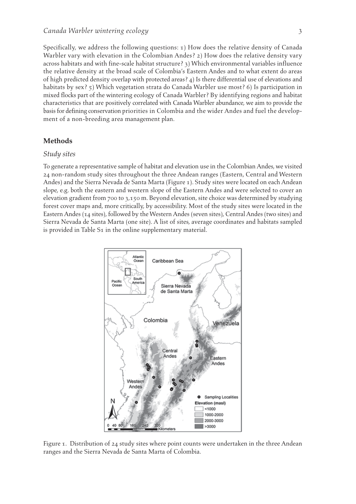Specifically, we address the following questions: 1) How does the relative density of Canada Warbler vary with elevation in the Colombian Andes? 2) How does the relative density vary across habitats and with fine-scale habitat structure? 3) Which environmental variables influence the relative density at the broad scale of Colombia's Eastern Andes and to what extent do areas of high predicted density overlap with protected areas? 4) Is there differential use of elevations and habitats by sex? 5) Which vegetation strata do Canada Warbler use most? 6) Is participation in mixed flocks part of the wintering ecology of Canada Warbler? By identifying regions and habitat characteristics that are positively correlated with Canada Warbler abundance, we aim to provide the basis for defining conservation priorities in Colombia and the wider Andes and fuel the development of a non-breeding area management plan.

## **Methods**

### *Study sites*

To generate a representative sample of habitat and elevation use in the Colombian Andes, we visited 24 non-random study sites throughout the three Andean ranges (Eastern, Central and Western Andes) and the Sierra Nevada de Santa Marta (Figure 1). Study sites were located on each Andean slope, e.g. both the eastern and western slope of the Eastern Andes and were selected to cover an elevation gradient from 700 to 3,150 m. Beyond elevation, site choice was determined by studying forest cover maps and, more critically, by accessibility. Most of the study sites were located in the Eastern Andes (14 sites), followed by the Western Andes (seven sites), Central Andes (two sites) and Sierra Nevada de Santa Marta (one site). A list of sites, average coordinates and habitats sampled is provided in Table S<sub>1</sub> in the online supplementary material.



Figure 1. Distribution of 24 study sites where point counts were undertaken in the three Andean ranges and the Sierra Nevada de Santa Marta of Colombia.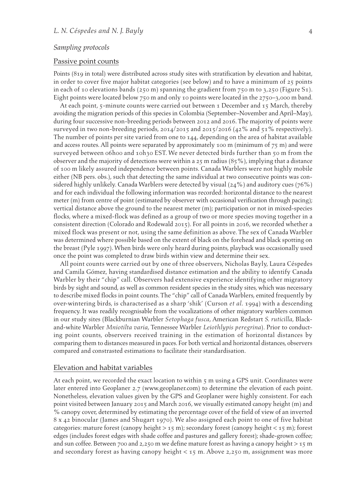#### *Sampling protocols*

## Passive point counts

Points (819 in total) were distributed across study sites with stratification by elevation and habitat, in order to cover five major habitat categories (see below) and to have a minimum of  $25$  points in each of 10 elevations bands (250 m) spanning the gradient from 750 m to 3,250 (Figure S1). Eight points were located below 750 m and only 10 points were located in the 2750–3,000 m band.

At each point, 5-minute counts were carried out between 1 December and 15 March, thereby avoiding the migration periods of this species in Colombia (September–November and April–May), during four successive non-breeding periods between 2012 and 2016. The majority of points were surveyed in two non-breeding periods,  $2014/2015$  and  $2015/2016$  (42% and  $51\%$  respectively). The number of points per site varied from one to 144, depending on the area of habitat available and access routes. All points were separated by approximately 100 m (minimum of  $75$  m) and were surveyed between 06h00 and 10h30 EST. We never detected birds further than 50 m from the observer and the majority of detections were within a 25 m radius (85%), implying that a distance of 100 m likely assured independence between points. Canada Warblers were not highly mobile either (NB pers. obs.), such that detecting the same individual at two consecutive points was considered highly unlikely. Canada Warblers were detected by visual (24%) and auditory cues (76%) and for each individual the following information was recorded: horizontal distance to the nearest meter (m) from centre of point (estimated by observer with occasional verification through pacing); vertical distance above the ground to the nearest meter (m); participation or not in mixed-species flocks, where a mixed-flock was defined as a group of two or more species moving together in a consistent direction (Colorado and Rodewald 2015). For all points in 2016, we recorded whether a mixed flock was present or not, using the same definition as above. The sex of Canada Warbler was determined where possible based on the extent of black on the forehead and black spotting on the breast (Pyle 1997). When birds were only heard during points, playback was occasionally used once the point was completed to draw birds within view and determine their sex.

All point counts were carried out by one of three observers, Nicholas Bayly, Laura Céspedes and Camila Gómez, having standardised distance estimation and the ability to identify Canada Warbler by their "chip" call. Observers had extensive experience identifying other migratory birds by sight and sound, as well as common resident species in the study sites, which was necessary to describe mixed flocks in point counts. The "chip" call of Canada Warblers, emited frequently by over-wintering birds, is characterised as a sharp 'shik' (Curson *et al.* 1994) with a descending frequency. It was readily recognisable from the vocalizations of other migratory warblers common in our study sites (Blackburnian Warbler *Setophaga fusca*, American Redstart *S. ruticilla*, Blackand-white Warbler *Mniotilta varia*, Tennessee Warbler *Leiothlypis peregrina*). Prior to conducting point counts, observers received training in the estimation of horizontal distances by comparing them to distances measured in paces. For both vertical and horizontal distances, observers compared and constrasted estimations to facilitate their standardisation.

#### Elevation and habitat variables

At each point, we recorded the exact location to within 5 m using a GPS unit. Coordinates were later entered into Geoplaner 2.7 [\(www.geoplaner.com\)](http://www.geoplaner.com) to determine the elevation of each point. Nonetheless, elevation values given by the GPS and Geoplaner were highly consistent. For each point visited between January 2015 and March 2016, we visually estimated canopy height (m) and % canopy cover, determined by estimating the percentage cover of the field of view of an inverted 8 x 42 binocular (James and Shugart 1970). We also assigned each point to one of five habitat categories: mature forest (canopy height  $> 15$  m); secondary forest (canopy height  $< 15$  m); forest edges (includes forest edges with shade coffee and pastures and gallery forest); shade-grown coffee; and sun coffee. Between 700 and 2,250 m we define mature forest as having a canopy height  $>$  15 m and secondary forest as having canopy height < 15 m. Above 2,250 m, assignment was more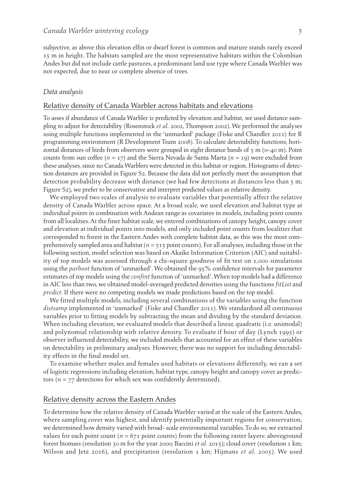subjective, as above this elevation elfin or dwarf forest is common and mature stands rarely exceed

15 m in height. The habitats sampled are the most representative habitats within the Colombian Andes but did not include cattle pastures, a predominant land use type where Canada Warbler was not expected, due to near or complete absence of trees.

#### *Data analysis*

## Relative density of Canada Warbler across habitats and elevations

To asses if abundance of Canada Warbler is predicted by elevation and habitat, we used distance sampling to adjust for detectability (Rosenstock *et al.* 2002, Thompson 2002). We performed the analyses using multiple functions implemented in the 'unmarked' package (Fiske and Chandler 2011) for R programming environment (R Development Team 2008). To calculate detectability functions, horizontal distances of birds from observers were grouped in eight distance bands of 5 m (0–40 m). Point counts from sun coffee (*n* = 17) and the Sierra Nevada de Santa Marta (*n* = 19) were excluded from these analyses, since no Canada Warblers were detected in this habitat or region. Histograms of detection distances are provided in Figure S2. Because the data did not perfectly meet the assumption that detection probability decrease with distance (we had few detections at distances less than 5 m; Figure S2), we prefer to be conservative and interpret predicted values as relative density.

We employed two scales of analysis to evaluate variables that potentially affect the relative density of Canada Warbler across space. At a broad scale, we used elevation and habitat type at individual points in combination with Andean range as covariates in models, including point counts from all localities. At the finer habitat scale, we entered combinations of canopy height, canopy cover and elevation at individual points into models, and only included point counts from localities that corresponded to forest in the Eastern Andes with complete habitat data, as this was the most comprehensively sampled area and habitat (*n* = 515 point counts). For all analyses, including those in the following section, model selection was based on Akaike Information Criterion (AIC) and suitability of top models was assessed through a chi-square goodness of fit test on 1,000 simulations using the *parboot* function of 'unmarked'. We obtained the 95% confidence intervals for parameter estimates of top models using the *confint* function of 'unmarked'. When top models had a difference in AIC less than two, we obtained model-averaged predicted densities using the functions *fitList* and *predict*. If there were no competing models we made predictions based on the top model.

We fitted multiple models, including several combinations of the variables using the function *distsamp* implemented in 'unmarked' (Fiske and Chandler 2011). We standardised all continuous variables prior to fitting models by subtracting the mean and dividing by the standard deviation. When including elevation, we evaluated models that described a linear, quadratic (i.e. unimodal) and polynomial relationship with relative density. To evaluate if hour of day (Lynch 1995) or observer influenced detectability, we included models that accounted for an effect of these variables on detectability in preliminary analyses. However, there was no support for including detectability effects in the final model set.

To examine whether males and females used habitats or elevations differently, we ran a set of logistic regressions including elevation, habitat type, canopy height and canopy cover as predictors (*n* = 77 detections for which sex was confidently determined).

#### Relative density across the Eastern Andes

To determine how the relative density of Canada Warbler varied at the scale of the Eastern Andes, where sampling cover was highest, and identify potentially important regions for conservation, we determined how density varied with broad- scale environmental variables. To do so, we extracted values for each point count ( $n = 671$  point counts) from the following raster layers: above ground forest biomass (resolution 30 m for the year 2000; Baccini *et al.* 2015); cloud cover (resolution 1 km; Wilson and Jetz 2016), and precipitation (resolution 1 km; Hijmans *et al.* 2005). We used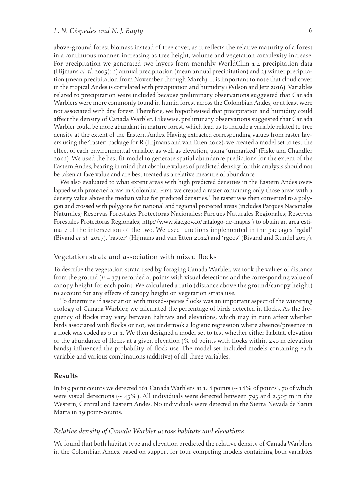above-ground forest biomass instead of tree cover, as it reflects the relative maturity of a forest in a continuous manner, increasing as tree height, volume and vegetation complexity increase. For precipitation we generated two layers from monthly WorldClim 1.4 precipitation data (Hijmans *et al.* 2005): 1) annual precipitation (mean annual precipitation) and 2) winter precipitation (mean precipitation from November through March). It is important to note that cloud cover in the tropical Andes is correlated with precipitation and humidity (Wilson and Jetz 2016). Variables related to precipitation were included because preliminary observations suggested that Canada Warblers were more commonly found in humid forest across the Colombian Andes, or at least were not associated with dry forest. Therefore, we hypothesised that precipitation and humidity could affect the density of Canada Warbler. Likewise, preliminary observations suggested that Canada Warbler could be more abundant in mature forest, which lead us to include a variable related to tree density at the extent of the Eastern Andes. Having extracted corresponding values from raster layers using the 'raster' package for R (Hijmans and van Etten 2012), we created a model set to test the effect of each environmental variable, as well as elevation, using 'unmarked' (Fiske and Chandler 2011). We used the best fit model to generate spatial abundance predictions for the extent of the Eastern Andes, bearing in mind that absolute values of predicted density for this analysis should not be taken at face value and are best treated as a relative measure of abundance.

We also evaluated to what extent areas with high predicted densities in the Eastern Andes overlapped with protected areas in Colombia. First, we created a raster containing only those areas with a density value above the median value for predicted densities. The raster was then converted to a polygon and crossed with polygons for national and regional protected areas (includes Parques Nacionales Naturales; Reservas Forestales Protectoras Nacionales; Parques Naturales Regionales; Reservas Forestales Protectoras Regionales; <http://www.siac.gov.co/catalogo-de-mapas>) to obtain an area estimate of the intersection of the two. We used functions implemented in the packages 'rgdal' (Bivand *et al.* 2017), 'raster' (Hijmans and van Etten 2012) and 'rgeos' (Bivand and Rundel 2017).

#### Vegetation strata and association with mixed flocks

To describe the vegetation strata used by foraging Canada Warbler, we took the values of distance from the ground (*n* = 37) recorded at points with visual detections and the corresponding value of canopy height for each point. We calculated a ratio (distance above the ground/canopy height) to account for any effects of canopy height on vegetation strata use.

To determine if association with mixed-species flocks was an important aspect of the wintering ecology of Canada Warbler, we calculated the percentage of birds detected in flocks. As the frequency of flocks may vary between habitats and elevations, which may in turn affect whether birds associated with flocks or not, we undertook a logistic regression where absence/presence in a flock was coded as 0 or 1. We then designed a model set to test whether either habitat, elevation or the abundance of flocks at a given elevation (% of points with flocks within 250 m elevation bands) influenced the probability of flock use. The model set included models containing each variable and various combinations (additive) of all three variables.

### **Results**

In 819 point counts we detected 161 Canada Warblers at 148 points (∼ 18% of points), 70 of which were visual detections (∼ 43%). All individuals were detected between 793 and 2,305 m in the Western, Central and Eastern Andes. No individuals were detected in the Sierra Nevada de Santa Marta in 19 point-counts.

#### *Relative density of Canada Warbler across habitats and elevations*

We found that both habitat type and elevation predicted the relative density of Canada Warblers in the Colombian Andes, based on support for four competing models containing both variables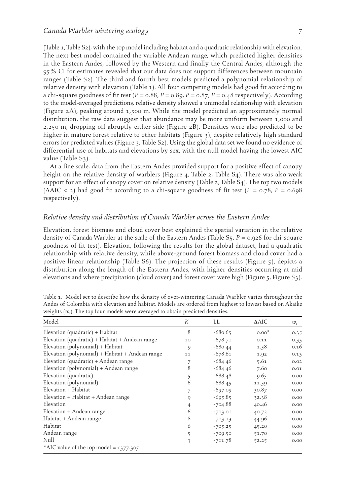(Table 1, Table S2), with the top model including habitat and a quadratic relationship with elevation. The next best model contained the variable Andean range, which predicted higher densities in the Eastern Andes, followed by the Western and finally the Central Andes, although the 95% CI for estimates revealed that our data does not support differences between mountain ranges (Table S2). The third and fourth best models predicted a polynomial relationship of relative density with elevation (Table 1). All four competing models had good fit according to a chi-square goodness of fit test  $(P = 0.88, P = 0.89, P = 0.87, P = 0.48$  respectively). According to the model-averaged predictions, relative density showed a unimodal relationship with elevation (Figure 2A), peaking around 1,500 m. While the model predicted an approximately normal distribution, the raw data suggest that abundance may be more uniform between 1,000 and 2,250 m, dropping off abruptly either side (Figure 2B). Densities were also predicted to be higher in mature forest relative to other habitats (Figure 3), despite relatively high standard errors for predicted values (Figure 3; Table S2). Using the global data set we found no evidence of differential use of habitats and elevations by sex, with the null model having the lowest AIC value (Table S3).

At a fine scale, data from the Eastern Andes provided support for a positive effect of canopy height on the relative density of warblers (Figure 4, Table 2, Table S4). There was also weak support for an effect of canopy cover on relative density (Table 2, Table S4). The top two models (ΔAIC < 2) had good fit according to a chi-square goodness of fit test (*P* = 0.78, *P* = 0.698 respectively).

## *Relative density and distribution of Canada Warbler across the Eastern Andes*

Elevation, forest biomass and cloud cover best explained the spatial variation in the relative density of Canada Warbler at the scale of the Eastern Andes (Table S5, *P* = 0.926 for chi-square goodness of fit test). Elevation, following the results for the global dataset, had a quadratic relationship with relative density, while above-ground forest biomass and cloud cover had a positive linear relationship (Table S6). The projection of these results (Figure 5), depicts a distribution along the length of the Eastern Andes, with higher densities occurring at mid elevations and where precipitation (cloud cover) and forest cover were high (Figure 5, Figure S3).

| Model                                           | К               | LL        | $\triangle$ AIC | $w_i$ |
|-------------------------------------------------|-----------------|-----------|-----------------|-------|
| Elevation (quadratic) + Habitat                 | 8               | $-680.65$ | $0.00*$         | 0.35  |
| Elevation (quadratic) + Habitat + Andean range  | TO <sub>1</sub> | $-678.71$ | 0.11            | 0.33  |
| Elevation (polynomial) + Habitat                | 9               | $-680.44$ | 1.58            | 0.16  |
| Elevation (polynomial) + Habitat + Andean range | 11              | $-678.61$ | 1.92            | 0.13  |
| Elevation (quadratic) + Andean range            | 7               | $-684.46$ | 5.61            | 0.02  |
| Elevation (polynomial) + Andean range           | 8               | $-684.46$ | 7.60            | 0.01  |
| Elevation (quadratic)                           | 5               | $-688.48$ | 9.65            | 0.00  |
| Elevation (polynomial)                          | 6               | $-688.45$ | 11.59           | 0.00  |
| Elevation + Habitat                             | 7               | $-697.09$ | 30.87           | 0.00  |
| Elevation + Habitat + Andean range              | 9               | $-695.85$ | 32.38           | 0.00  |
| Elevation                                       | $\overline{4}$  | $-704.88$ | 40.46           | 0.00  |
| Elevation + Andean range                        | 6               | $-703.01$ | 40.72           | 0.00  |
| Habitat + Andean range                          | 8               | $-703.13$ | 44.96           | 0.00  |
| Habitat                                         | 6               | $-705.25$ | 45.20           | 0.00  |
| Andean range                                    | 5               | $-709.50$ | 51.70           | 0.00  |
| Null                                            | 3               | $-711.78$ | 52.25           | 0.00  |
| *AIC value of the top model = $1377.305$        |                 |           |                 |       |

Table 1. Model set to describe how the density of over-wintering Canada Warbler varies throughout the Andes of Colombia with elevation and habitat. Models are ordered from highest to lowest based on Akaike weights (*wi*). The top four models were averaged to obtain predicted densities.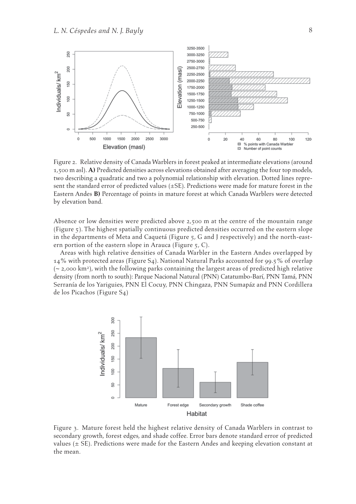

Figure 2. Relative density of Canada Warblers in forest peaked at intermediate elevations (around 1,500 m asl). **A)** Predicted densities across elevations obtained after averaging the four top models, two describing a quadratic and two a polynomial relationship with elevation. Dotted lines represent the standard error of predicted values (±SE). Predictions were made for mature forest in the Eastern Andes **B)** Percentage of points in mature forest at which Canada Warblers were detected by elevation band.

Absence or low densities were predicted above 2,500 m at the centre of the mountain range (Figure 5). The highest spatially continuous predicted densities occurred on the eastern slope in the departments of Meta and Caquetá (Figure 5, G and J respectively) and the north-eastern portion of the eastern slope in Arauca (Figure 5, C).

Areas with high relative densities of Canada Warbler in the Eastern Andes overlapped by 14% with protected areas (Figure S4). National Natural Parks accounted for 99.5% of overlap (∼ 2,000 km2), with the following parks containing the largest areas of predicted high relative density (from north to south): Parque Nacional Natural (PNN) Catatumbo-Barí, PNN Tamá, PNN Serranía de los Yariguies, PNN El Cocuy, PNN Chingaza, PNN Sumapáz and PNN Cordillera de los Picachos (Figure S4)



Figure 3. Mature forest held the highest relative density of Canada Warblers in contrast to secondary growth, forest edges, and shade coffee. Error bars denote standard error of predicted values ( $\pm$  SE). Predictions were made for the Eastern Andes and keeping elevation constant at the mean.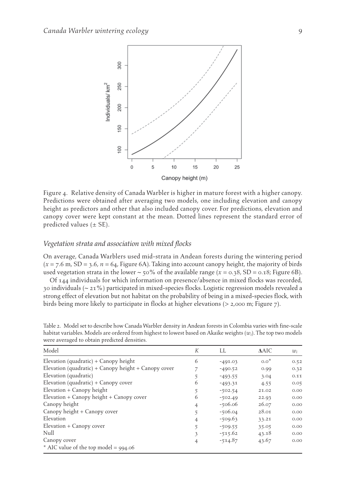

Figure 4. Relative density of Canada Warbler is higher in mature forest with a higher canopy. Predictions were obtained after averaging two models, one including elevation and canopy height as predictors and other that also included canopy cover. For predictions, elevation and canopy cover were kept constant at the mean. Dotted lines represent the standard error of predicted values  $(\pm S E)$ .

## *Vegetation strata and association with mixed flocks*

On average, Canada Warblers used mid-strata in Andean forests during the wintering period  $(x = 7.6 \text{ m}, \text{SD} = 3.6, n = 64, \text{ Figure 6A}).$  Taking into account canopy height, the majority of birds used vegetation strata in the lower ∼ 50% of the available range (*x* = 0.38, SD = 0.18; Figure 6B).

Of 144 individuals for which information on presence/absence in mixed flocks was recorded, 30 individuals (∼ 21%) participated in mixed-species flocks. Logistic regression models revealed a strong effect of elevation but not habitat on the probability of being in a mixed-species flock, with birds being more likely to participate in flocks at higher elevations (> 2,000 m; Figure 7).

| Model                                                | К | LL        | $\triangle$ AIC | $w_i$ |  |  |
|------------------------------------------------------|---|-----------|-----------------|-------|--|--|
| Elevation (quadratic) + Canopy height                | 6 | $-491.03$ | $0.0*$          | 0.52  |  |  |
| Elevation (quadratic) + Canopy height + Canopy cover | 7 | $-490.52$ | 0.99            | 0.32  |  |  |
| Elevation (quadratic)                                | 5 | $-493.55$ | 3.04            | 0.11  |  |  |
| Elevation (quadratic) + Canopy cover                 | 6 | $-493.31$ | 4.55            | 0.05  |  |  |
| Elevation $+$ Canopy height                          | 5 | $-502.54$ | 21.02           | 0.00  |  |  |
| Elevation + Canopy height + Canopy cover             | 6 | $-502.49$ | 22.93           | 0.00  |  |  |
| Canopy height                                        | 4 | $-506.06$ | 26.07           | 0.00  |  |  |
| Canopy height + Canopy cover                         | 5 | $-506.04$ | 28.01           | 0.00  |  |  |
| Elevation                                            | 4 | $-509.63$ | 33.21           | 0.00  |  |  |
| Elevation + Canopy cover                             | 5 | $-509.55$ | 35.05           | 0.00  |  |  |
| Null                                                 | 3 | $-515.62$ | 43.18           | 0.00  |  |  |
| Canopy cover                                         | 4 | $-514.87$ | 43.67           | 0.00  |  |  |
| * AIC value of the top model = $994.06$              |   |           |                 |       |  |  |

Table 2. Model set to describe how Canada Warbler density in Andean forests in Colombia varies with fine-scale habitat variables. Models are ordered from highest to lowest based on Akaike weights (*wi*). The top two models were averaged to obtain predicted densities.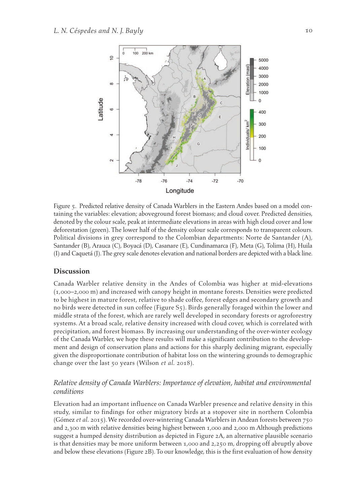

Figure 5. Predicted relative density of Canada Warblers in the Eastern Andes based on a model containing the variables: elevation; aboveground forest biomass; and cloud cover. Predicted densities, denoted by the colour scale, peak at intermediate elevations in areas with high cloud cover and low deforestation (green). The lower half of the density colour scale corresponds to transparent colours. Political divisions in grey correspond to the Colombian departments: Norte de Santander (A), Santander (B), Arauca (C), Boyacá (D), Casanare (E), Cundinamarca (F), Meta (G), Tolima (H), Huila (I) and Caquetá (J). The grey scale denotes elevation and national borders are depicted with a black line.

## **Discussion**

Canada Warbler relative density in the Andes of Colombia was higher at mid-elevations (1,000–2,000 m) and increased with canopy height in montane forests. Densities were predicted to be highest in mature forest, relative to shade coffee, forest edges and secondary growth and no birds were detected in sun coffee (Figure S5). Birds generally foraged within the lower and middle strata of the forest, which are rarely well developed in secondary forests or agroforestry systems. At a broad scale, relative density increased with cloud cover, which is correlated with precipitation, and forest biomass. By increasing our understanding of the over-winter ecology of the Canada Warbler, we hope these results will make a significant contribution to the development and design of conservation plans and actions for this sharply declining migrant, especially given the disproportionate contribution of habitat loss on the wintering grounds to demographic change over the last 50 years (Wilson *et al.* 2018).

## *Relative density of Canada Warblers: Importance of elevation, habitat and environmental conditions*

Elevation had an important influence on Canada Warbler presence and relative density in this study, similar to findings for other migratory birds at a stopover site in northern Colombia (Gómez *et al.* 2015). We recorded over-wintering Canada Warblers in Andean forests between 750 and 2,300 m with relative densities being highest between 1,000 and 2,000 m Although predictions suggest a humped density distribution as depicted in Figure 2A, an alternative plausible scenario is that densities may be more uniform between 1,000 and 2,250 m, dropping off abruptly above and below these elevations (Figure 2B). To our knowledge, this is the first evaluation of how density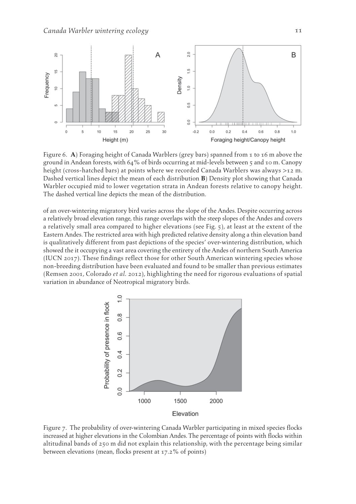

Figure 6. **A**) Foraging height of Canada Warblers (grey bars) spanned from 1 to 16 m above the ground in Andean forests, with  $64\%$  of birds occurring at mid-levels between 5 and 10 m. Canopy height (cross-hatched bars) at points where we recorded Canada Warblers was always >12 m. Dashed vertical lines depict the mean of each distribution **B**) Density plot showing that Canada Warbler occupied mid to lower vegetation strata in Andean forests relative to canopy height. The dashed vertical line depicts the mean of the distribution.

of an over-wintering migratory bird varies across the slope of the Andes. Despite occurring across a relatively broad elevation range, this range overlaps with the steep slopes of the Andes and covers a relatively small area compared to higher elevations (see Fig. 5), at least at the extent of the Eastern Andes. The restricted area with high predicted relative density along a thin elevation band is qualitatively different from past depictions of the species' over-wintering distribution, which showed the it occupying a vast area covering the entirety of the Andes of northern South America (IUCN 2017). These findings reflect those for other South American wintering species whose non-breeding distribution have been evaluated and found to be smaller than previous estimates (Remsen 2001, Colorado *et al.* 2012), highlighting the need for rigorous evaluations of spatial variation in abundance of Neotropical migratory birds.



Figure 7. The probability of over-wintering Canada Warbler participating in mixed species flocks increased at higher elevations in the Colombian Andes. The percentage of points with flocks within altitudinal bands of 250 m did not explain this relationship, with the percentage being similar between elevations (mean, flocks present at 17.2% of points)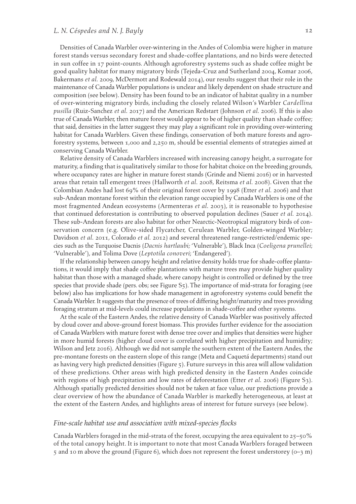Densities of Canada Warbler over-wintering in the Andes of Colombia were higher in mature forest stands versus secondary forest and shade-coffee plantations, and no birds were detected in sun coffee in 17 point-counts. Although agroforestry systems such as shade coffee might be good quality habitat for many migratory birds (Tejeda-Cruz and Sutherland 2004, Komar 2006, Bakermans *et al.* 2009, McDermott and Rodewald 2014), our results suggest that their role in the maintenance of Canada Warbler populations is unclear and likely dependent on shade structure and composition (see below). Density has been found to be an indicator of habitat quality in a number of over-wintering migratory birds, including the closely related Wilson's Warbler *Cardellina pusilla* (Ruiz-Sanchez *et al.* 2017) and the American Redstart (Johnson *et al.* 2006)*.* If this is also true of Canada Warbler, then mature forest would appear to be of higher quality than shade coffee; that said, densities in the latter suggest they may play a significant role in providing over-wintering habitat for Canada Warblers. Given these findings, conservation of both mature forests and agroforestry systems, between 1,000 and 2,250 m, should be essential elements of strategies aimed at conserving Canada Warbler.

Relative density of Canada Warblers increased with increasing canopy height, a surrogate for maturity, a finding that is qualitatively similar to those for habitat choice on the breeding grounds, where occupancy rates are higher in mature forest stands (Grinde and Niemi 2016) or in harvested areas that retain tall emergent trees (Hallworth *et al.* 2008, Reitsma *et al.* 2008). Given that the Colombian Andes had lost 69% of their original forest cover by 1998 (Etter *et al.* 2006) and that sub-Andean montane forest within the elevation range occupied by Canada Warblers is one of the most fragmented Andean ecosystems (Armenteras *et al.* 2003), it is reasonable to hypothesise that continued deforestation is contributing to observed population declines (Sauer *et al.* 2014). These sub-Andean forests are also habitat for other Nearctic-Neotropical migratory birds of conservation concern (e.g. Olive-sided Flycatcher, Cerulean Warbler, Golden-winged Warbler; Davidson *et al.* 2011, Colorado *et al.* 2012) and several threatened range-restricted/endemic species such as the Turquoise Dacnis (*Dacnis hartlaubi;* 'Vulnerable'), Black Inca (*Coeligena prunellei*; 'Vulnerable'), and Tolima Dove (*Leptotila conoveri*; 'Endangered').

If the relationship between canopy height and relative density holds true for shade-coffee plantations, it would imply that shade coffee plantations with mature trees may provide higher quality habitat than those with a managed shade, where canopy height is controlled or defined by the tree species that provide shade (pers. obs; see Figure S5). The importance of mid-strata for foraging (see below) also has implications for how shade management in agroforestry systems could benefit the Canada Warbler. It suggests that the presence of trees of differing height/maturity and trees providing foraging stratum at mid-levels could increase populations in shade-coffee and other systems.

At the scale of the Eastern Andes, the relative density of Canada Warbler was positively affected by cloud cover and above-ground forest biomass. This provides further evidence for the association of Canada Warblers with mature forest with dense tree cover and implies that densities were higher in more humid forests (higher cloud cover is correlated with higher precipitation and humidity; Wilson and Jetz 2016)*.* Although we did not sample the southern extent of the Eastern Andes, the pre-montane forests on the eastern slope of this range (Meta and Caquetá departments) stand out as having very high predicted densities (Figure 5). Future surveys in this area will allow validation of these predictions. Other areas with high predicted density in the Eastern Andes coincide with regions of high precipitation and low rates of deforestation (Etter *et al.* 2006) (Figure S3). Although spatially predicted densities should not be taken at face value, our predictions provide a clear overview of how the abundance of Canada Warbler is markedly heterogeneous, at least at the extent of the Eastern Andes, and highlights areas of interest for future surveys (see below).

#### *Fine-scale habitat use and association with mixed-species flocks*

Canada Warblers foraged in the mid-strata of the forest, occupying the area equivalent to 25–50% of the total canopy height. It is important to note that most Canada Warblers foraged between 5 and 10 m above the ground (Figure 6), which does not represent the forest understorey ( $o$ –3 m)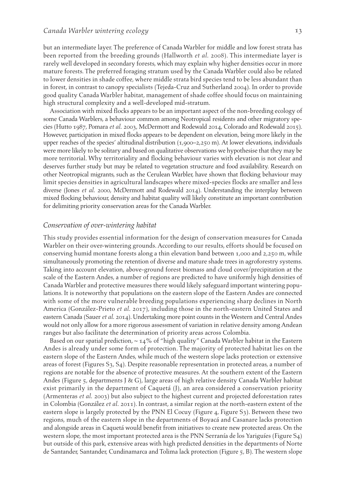but an intermediate layer. The preference of Canada Warbler for middle and low forest strata has been reported from the breeding grounds (Hallworth *et al.* 2008). This intermediate layer is rarely well developed in secondary forests, which may explain why higher densities occur in more mature forests. The preferred foraging stratum used by the Canada Warbler could also be related to lower densities in shade coffee, where middle strata bird species tend to be less abundant than in forest, in contrast to canopy specialists (Tejeda-Cruz and Sutherland 2004). In order to provide good quality Canada Warbler habitat, management of shade coffee should focus on maintaining high structural complexity and a well-developed mid-stratum.

Association with mixed flocks appears to be an important aspect of the non-breeding ecology of some Canada Warblers, a behaviour common among Neotropical residents and other migratory species (Hutto 1987, Pomara *et al.* 2003, McDermott and Rodewald 2014, Colorado and Rodewald 2015). However, participation in mixed flocks appears to be dependent on elevation, being more likely in the upper reaches of the species' altitudinal distribution  $(1,900-2,250 \text{ m})$ . At lower elevations, individuals were more likely to be solitary and based on qualitative observations we hypothesise that they may be more territorial. Why territoriality and flocking behaviour varies with elevation is not clear and deserves further study but may be related to vegetation structure and food availability. Research on other Neotropical migrants, such as the Cerulean Warbler, have shown that flocking behaviour may limit species densities in agricultural landscapes where mixed-species flocks are smaller and less diverse (Jones *et al.* 2000, McDermott and Rodewald 2014). Understanding the interplay between mixed flocking behaviour, density and habitat quality will likely constitute an important contribution for delimiting priority conservation areas for the Canada Warbler.

#### *Conservation of over-wintering habitat*

This study provides essential information for the design of conservation measures for Canada Warbler on their over-wintering grounds. According to our results, efforts should be focused on conserving humid montane forests along a thin elevation band between 1,000 and 2,250 m, while simultaneously promoting the retention of diverse and mature shade trees in agroforestry systems. Taking into account elevation, above-ground forest biomass and cloud cover/precipitation at the scale of the Eastern Andes, a number of regions are predicted to have uniformly high densities of Canada Warbler and protective measures there would likely safeguard important wintering populations. It is noteworthy that populations on the eastern slope of the Eastern Andes are connected with some of the more vulnerable breeding populations experiencing sharp declines in North America (González-Prieto *et al.* 2017), including those in the north-eastern United States and eastern Canada (Sauer *et al.* 2014). Undertaking more point counts in the Western and Central Andes would not only allow for a more rigorous assessment of variation in relative density among Andean ranges but also facilitate the determination of priority areas across Colombia.

Based on our spatial prediction, ∼ 14% of "high quality" Canada Warbler habitat in the Eastern Andes is already under some form of protection. The majority of protected habitat lies on the eastern slope of the Eastern Andes, while much of the western slope lacks protection or extensive areas of forest (Figures S3, S4). Despite reasonable representation in protected areas, a number of regions are notable for the absence of protective measures. At the southern extent of the Eastern Andes (Figure 5, departments J & G), large areas of high relative density Canada Warbler habitat exist primarily in the department of Caquetá (J), an area considered a conservation priority (Armenteras *et al.* 2003) but also subject to the highest current and projected deforestation rates in Colombia (González *et al.* 2011). In contrast, a similar region at the north-eastern extent of the eastern slope is largely protected by the PNN El Cocuy (Figure 4, Figure S3). Between these two regions, much of the eastern slope in the departments of Boyacá and Casanare lacks protection and alongside areas in Caquetá would benefit from initiatives to create new protected areas. On the western slope, the most important protected area is the PNN Serranía de los Yariguíes (Figure S4) but outside of this park, extensive areas with high predicted densities in the departments of Norte de Santander, Santander, Cundinamarca and Tolima lack protection (Figure 5, B). The western slope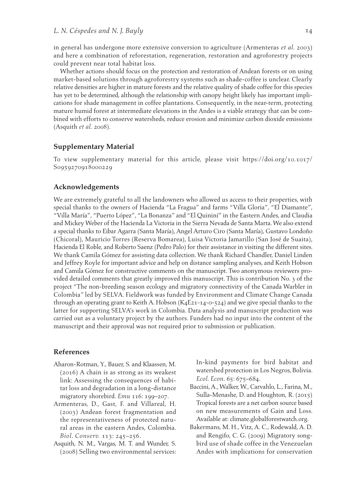in general has undergone more extensive conversion to agriculture (Armenteras *et al.* 2003) and here a combination of reforestation, regeneration, restoration and agroforestry projects could prevent near total habitat loss.

Whether actions should focus on the protection and restoration of Andean forests or on using market-based solutions through agroforestry systems such as shade-coffee is unclear. Clearly relative densities are higher in mature forests and the relative quality of shade coffee for this species has yet to be determined, although the relationship with canopy height likely has important implications for shade management in coffee plantations. Consequently, in the near-term, protecting mature humid forest at intermediate elevations in the Andes is a viable strategy that can be combined with efforts to conserve watersheds, reduce erosion and minimize carbon dioxide emissions (Asquith *et al.* 2008).

## **Supplementary Material**

To view supplementary material for this article, please visit [https://doi.org/](https://doi.org/10.1017/S0959270918000229)10.1017/ S[0959270918000229](https://doi.org/10.1017/S0959270918000229)

## **Acknowledgements**

We are extremely grateful to all the landowners who allowed us access to their properties, with special thanks to the owners of Hacienda "La Fragua" and farms "Villa Gloria", "El Diamante", "Villa María", "Puerto López", "La Bonanza" and "El Quininí" in the Eastern Andes, and Claudia and Mickey Weber of the Hacienda La Victoria in the Sierra Nevada de Santa Marta. We also extend a special thanks to Eibar Agarra (Santa María), Angel Arturo Ciro (Santa María), Gustavo Londoño (Chicoral), Mauricio Torres (Reserva Bomarea), Luisa Victoria Jamarillo (San José de Suaita), Hacienda El Roble, and Roberto Saenz (Pedro Palo) for their assistance in visiting the different sites. We thank Camila Gómez for assisting data collection. We thank Richard Chandler, Daniel Linden and Jeffrey Royle for important advice and help on distance sampling analyses, and Keith Hobson and Camila Gómez for constructive comments on the manuscript. Two anonymous reviewers provided detailed comments that greatly improved this manuscript. This is contribution No. 3 of the project "The non-breeding season ecology and migratory connectivity of the Canada Warbler in Colombia" led by SELVA. Fieldwork was funded by Environment and Climate Change Canada through an operating grant to Keith A. Hobson (K4E21-14-0-524) and we give special thanks to the latter for supporting SELVA's work in Colombia. Data analysis and manuscript production was carried out as a voluntary project by the authors. Funders had no input into the content of the manuscript and their approval was not required prior to submission or publication.

## **References**

- Aharon-Rotman, Y., Bauer, S. and Klaassen, M. (2016) A chain is as strong as its weakest link: Assessing the consequences of habitat loss and degradation in a long-distance migratory shorebird. *Emu* 116: 199–207.
- Armenteras, D., Gast, F. and Villareal, H. (2003) Andean forest fragmentation and the representativeness of protected natural areas in the eastern Andes, Colombia. *Biol. Conserv.* 113: 245–256.
- Asquith, N. M., Vargas, M. T. and Wunder, S. (2008) Selling two environmental services:

In-kind payments for bird habitat and watershed protection in Los Negros, Bolivia. *Ecol. Econ.* 65: 675–684.

- Baccini, A., Walker, W., Carvahlo, L., Farina, M., Sulla-Menashe, D. and Houghton, R. (2015) Tropical forests are a net carbon source based on new measurements of Gain and Loss. Available at: [climate.globalforestwatch.org.](http://climate.globalforestwatch.org)
- Bakermans, M. H., Vitz, A. C., Rodewald, A. D. and Rengifo, C. G. (2009) Migratory songbird use of shade coffee in the Venezuelan Andes with implications for conservation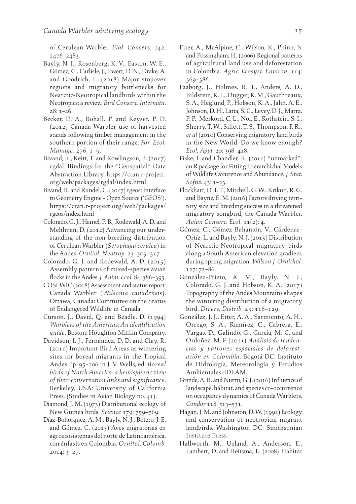of Cerulean Warbler. *Biol. Conserv.* 142: 2476–2483.

- Bayly, N. J., Rosenberg, K. V., Easton, W. E., Gómez, C., Carlisle, J., Ewert, D. N., Drake, A. and Goodrich, L. (2018) Major stopover regions and migratory bottlenecks for Nearctic-Neotropical landbirds within the Neotropics: a review. *Bird Conserv. Internatn*. 28: 1–26.
- Becker, D. A., Bohall, P. and Keyser, P. D. (2012) Canada Warbler use of harvested stands following timber management in the southern portion of their range. *For. Ecol. Manage.* 276: 1–9.
- Bivand, R., Keitt, T. and Rowlingson, B. (2017) rgdal: Bindings for the "Geospatial" Data Abstraction Library. [https://cran.r-project.](https://cran.r-project.org/web/packages/rgdal/index.html) [org/web/packages/rgdal/index.html](https://cran.r-project.org/web/packages/rgdal/index.html)
- Bivand, R. and Rundel, C. (2017) rgeos: Interface to Geometry Engine - Open Source ('GEOS'). [https://cran.r-project.org/web/packages/](https://cran.r-project.org/web/packages/rgeos/index.html) [rgeos/index.html](https://cran.r-project.org/web/packages/rgeos/index.html)
- Colorado, G. J., Hamel, P. B., Rodewald, A. D. and Mehlman, D. (2012) Advancing our understanding of the non-breeding distribution of Cerulean Warbler (*Setophaga cerulea*) in the Andes. *Ornitol. Neotrop.* 23: 309–317.
- Colorado, G. J. and Rodewald, A. D. (2015) Assembly patterns of mixed-species avian flocks in the Andes. *J. Anim. Ecol.* 84: 386–395.
- COSEWIC (2008) Assessment and status report: Canada Warbler (*Wilsonia canadensis*). Ottawa, Canada: Committee on the Status of Endangered Wildlife in Canada.
- Curson, J., David, Q. and Beadle, D. (1994) *Warblers of the Americas: An identification guide*. Boston: Houghton Mifflin Company.
- Davidson, I. J., Fernández, D. D. and Clay, R. (2011) Important Bird Areas as wintering sites for boreal migrants in the Tropical Andes Pp. 95-106 in J. V. Wells, ed. *Boreal birds of North America: a hemispheric view of their conservation links and significance*. Berkeley, USA: University of California Press. (Studies in Avian Biology no. 41).
- Diamond, J. M. (1973) Distributional ecology of New Guinea birds. *Science* 179: 759–769.
- Díaz-Bohórquez, A. M., Bayly, N. J., Botero, J. E. and Gómez, C. (2015) Aves migratorias en agroecosistemas del norte de Latinoamérica, con énfasis en Colombia. *Ornitol. Colomb.* 2014: 3–27.
- Etter, A., McAlpine, C., Wilson, K., Phinn, S. and Possingham, H. (2006) Regional patterns of agricultural land use and deforestation in Colombia. *Agric. Ecosyst. Environ.* 114: 369–386.
- Faaborg, J., Holmes, R. T., Anders, A. D., Bildstein, K. L., Dugger, K. M., Gauthreaux, S. A., Heglund, P., Hobson, K. A., Jahn, A. E., Johnson, D. H., Latta, S. C., Levey, D. J., Marra, P. P., Merkord, C. L., Nol, E., Rothstein, S. I., Sherry, T. W., Sillett, T. S., Thompson, F. R., *et al* (2010) Conserving migratory land birds in the New World: Do we know enough? *Ecol. Appl.* 20: 398–418.
- Fiske, I. and Chandler, R. (2011) "unmarked": an R package for Fitting Hierarchichal Models of Wildlife Occurence and Abundance. *J. Stat. Softw.* 43: 1–23.
- Flockhart, D. T. T., Mitchell, G. W., Krikun, R. G. and Bayne, E. M. (2016) Factors driving territory size and breeding success in a threatened migratory songbird, the Canada Warbler. *Avian Conserv. Ecol.* 11(2): 4.
- Gómez, C., Gómez-Bahamón, V., Cárdenas-Ortíz, L. and Bayly, N. J. (2015) Distribution of Nearctic-Neotropical migratory birds along a South American elevation gradient during spring migration. *Wilson J. Ornithol.* 127: 72–86.
- González-Prieto, A. M., Bayly, N. J., Colorado, G. J. and Hobson, K. A. (2017) Topography of the Andes Mountains shapes the wintering distribution of a migratory bird. *Divers. Distrib.* 23: 118–129.
- González, J. J., Etter, A. A., Sarmiento, A. H., Orrego, S. A., Ramírez, C., Cabrera, E., Vargas, D., Galindo, G., García, M. C. and Ordoñez, M. F. (2011) *Análisis de tendencias y patrones espaciales de deforestación en Colombia*. Bogotá DC: Instituto de Hidrología, Meteorología y Estudios Ambientales-IDEAM.
- Grinde, A. R. and Niemi, G. J. (2016) Influence of landscape, hábitat, and species co-occurrence on occupancy dynamics of Canada Warblers. *Condor* 118: 513–531.
- Hagan, J. M. and Johnston, D. W. (1992) Ecology and conservation of neotropical migrant landbirds. Washington DC: Smithsonian Institute Press.
- Hallworth, M., Ueland, A., Anderson, E., Lambert, D. and Reitsma, L. (2008) Habitat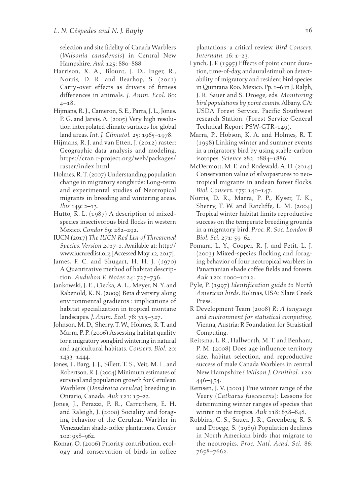selection and site fidelity of Canada Warblers (*Wilsonia canadensis*) in Central New Hampshire. *Auk* 125: 880–888.

- Harrison, X. A., Blount, J. D., Inger, R., Norris, D. R. and Bearhop, S. (2011) Carry-over effects as drivers of fitness differences in animals. *J. Anim. Ecol.* 80: 4–18.
- Hijmans, R. J., Cameron, S. E., Parra, J. L., Jones, P. G. and Jarvis, A. (2005) Very high resolution interpolated climate surfaces for global land areas. *Int. J. Climatol.* 25: 1965–1978.
- Hijmans, R. J. and van Etten, J. (2012) raster: Geographic data analysis and modeling. [https://cran.r-project.org/web/packages/](https://cran.r-project.org/web/packages/raster/index.html) [raster/index.html](https://cran.r-project.org/web/packages/raster/index.html)
- Holmes, R. T. (2007) Understanding population change in migratory songbirds: Long-term and experimental studies of Neotropical migrants in breeding and wintering areas. *Ibis* 149: 2–13.
- Hutto, R. L. (1987) A description of mixedspecies insectivorous bird flocks in western Mexico. *Condor* 89: 282–292.
- IUCN (2017) *The IUCN Red List of Threatened Species. Version 2017-1*. Available at: [http://](http://www.iucnredlist.org) [www.iucnredlist.org](http://www.iucnredlist.org) [Accessed May 12, 2017].
- James, F. C. and Shugart, H. H. J. (1970) A Quantitative method of habitat description. *Audubon F. Notes* 24: 727–736.
- Jankowski, J. E., Ciecka, A. L., Meyer, N. Y. and Rabenold, K. N. (2009) Beta diversity along environmental gradients : implications of habitat specialization in tropical montane landscapes. *J. Anim. Ecol.* 78: 315–327.
- Johnson, M. D., Sherry, T. W., Holmes, R. T. and Marra, P. P. (2006) Assessing habitat quality for a migratory songbird wintering in natural and agricultural habitats. *Conserv. Biol.* 20: 1433–1444.
- Jones, J., Barg, J. J., Sillett, T. S., Veit, M. L. and Robertson, R. J. (2004) Minimum estimates of survival and population growth for Cerulean Warblers (*Dendroica cerulea*) breeding in Ontario, Canada. *Auk* 121: 15–22.
- Jones, J., Perazzi, P. R., Carruthers, E. H. and Raleigh, J. (2000) Sociality and foraging behavior of the Cerulean Warbler in Venezuelan shade-coffee plantations. *Condor* 102: 958–962.
- Komar, O. (2006) Priority contribution, ecology and conservation of birds in coffee

plantations: a critical review. *Bird Conserv. Internatn.* 16: 1–23.

- Lynch, J. F. (1995) Effects of point count duration, time-of-day, and aural stimuli on detectability of migratory and resident bird species in Quintana Roo, Mexico. Pp. 1–6 in J. Ralph, J. R. Sauer and S. Droege, eds. *Monitoring bird populations by point counts*. Albany, CA: USDA Forest Service, Pacific Southwest research Station. (Forest Service General Technical Report PSW-GTR-149).
- Marra, P., Hobson, K. A. and Holmes, R. T. (1998) Linking winter and summer events in a migratory bird by using stable-carbon isotopes. *Science* 282: 1884–1886.
- McDermott, M. E. and Rodewald, A. D. (2014) Conservation value of silvopastures to neotropical migrants in andean forest flocks. *Biol. Conserv.* 175: 140–147.
- Norris, D. R., Marra, P. P., Kyser, T. K., Sherry, T. W. and Ratcliffe, L. M. (2004) Tropical winter habitat limits reproductive success on the temperate breeding grounds in a migratory bird. *Proc. R. Soc. London B Biol. Sci.* 271: 59–64.
- Pomara, L. Y., Cooper, R. J. and Petit, L. J. (2003) Mixed-species flocking and foraging behavior of four neotropical warblers in Panamanian shade coffee fields and forests. *Auk* 120: 1000–1012.
- Pyle, P. (1997) *Identification guide to North American birds*. Bolinas, USA: Slate Creek Press.
- R Development Team (2008) *R: A language and environment for statistical computing*. Vienna, Austria: R Foundation for Straistical Computing.
- Reitsma, L. R., Hallworth, M. T. and Benham, P. M. (2008) Does age influence territory size, habitat selection, and reproductive success of male Canada Warblers in central New Hampshire? *Wilson J. Ornithol.* 120: 446–454.
- Remsen, J. V. (2001) True winter range of the Veery (*Catharus fuscescens*): Lessons for determining winter ranges of species that winter in the tropics. *Auk* 118: 838–848.
- Robbins, C. S., Sauer, J. R., Greenberg, R. S. and Droege, S. (1989) Population declines in North American birds that migrate to the neotropics. *Proc. Natl. Acad. Sci.* 86: 7658–7662.